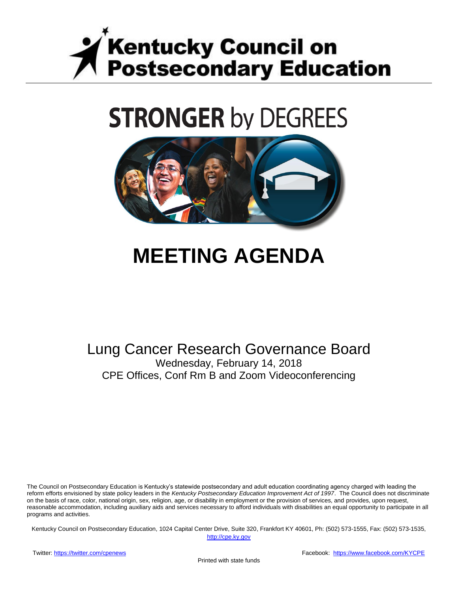

# **STRONGER by DEGREES**



## **MEETING AGENDA**

## Lung Cancer Research Governance Board Wednesday, February 14, 2018

CPE Offices, Conf Rm B and Zoom Videoconferencing

The Council on Postsecondary Education is Kentucky's statewide postsecondary and adult education coordinating agency charged with leading the reform efforts envisioned by state policy leaders in the *Kentucky Postsecondary Education Improvement Act of 1997*. The Council does not discriminate on the basis of race, color, national origin, sex, religion, age, or disability in employment or the provision of services, and provides, upon request, reasonable accommodation, including auxiliary aids and services necessary to afford individuals with disabilities an equal opportunity to participate in all programs and activities.

Kentucky Council on Postsecondary Education, 1024 Capital Center Drive, Suite 320, Frankfort KY 40601, Ph: (502) 573-1555, Fax: (502) 573-1535,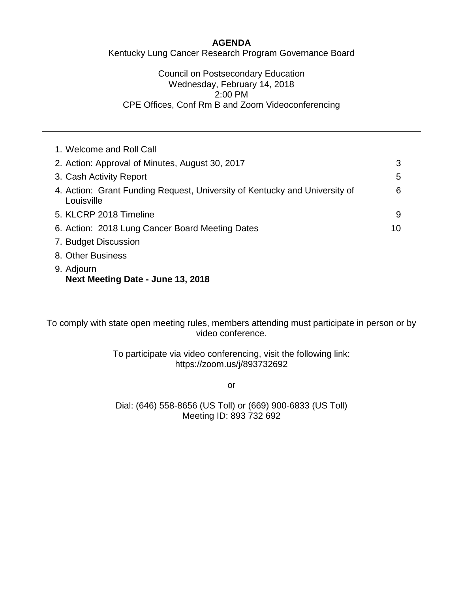#### **AGENDA**

Kentucky Lung Cancer Research Program Governance Board

#### Council on Postsecondary Education Wednesday, February 14, 2018 2:00 PM CPE Offices, Conf Rm B and Zoom Videoconferencing

| 1. Welcome and Roll Call                                                                 |    |
|------------------------------------------------------------------------------------------|----|
| 2. Action: Approval of Minutes, August 30, 2017                                          | 3  |
| 3. Cash Activity Report                                                                  | 5  |
| 4. Action: Grant Funding Request, University of Kentucky and University of<br>Louisville | 6  |
| 5. KLCRP 2018 Timeline                                                                   | 9  |
| 6. Action: 2018 Lung Cancer Board Meeting Dates                                          | 10 |
| 7. Budget Discussion                                                                     |    |
| 8. Other Business                                                                        |    |
| 9. Adjourn<br>Next Meeting Date - June 13, 2018                                          |    |

To comply with state open meeting rules, members attending must participate in person or by video conference.

> To participate via video conferencing, visit the following link: https://zoom.us/j/893732692

> > or

Dial: (646) 558-8656 (US Toll) or (669) 900-6833 (US Toll) Meeting ID: 893 732 692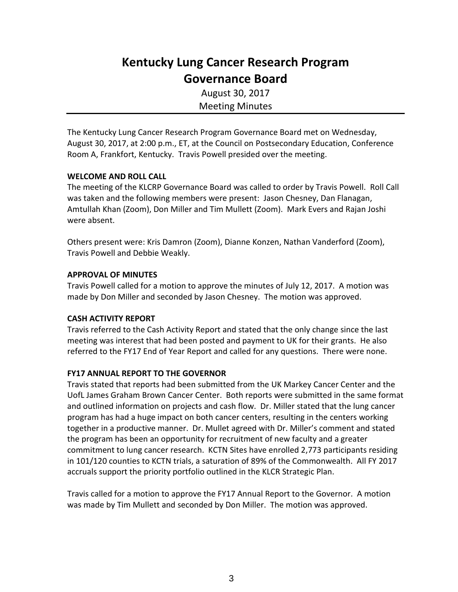## **Kentucky Lung Cancer Research Program Governance Board**

August 30, 2017 Meeting Minutes

The Kentucky Lung Cancer Research Program Governance Board met on Wednesday, August 30, 2017, at 2:00 p.m., ET, at the Council on Postsecondary Education, Conference Room A, Frankfort, Kentucky. Travis Powell presided over the meeting.

#### **WELCOME AND ROLL CALL**

The meeting of the KLCRP Governance Board was called to order by Travis Powell. Roll Call was taken and the following members were present: Jason Chesney, Dan Flanagan, Amtullah Khan (Zoom), Don Miller and Tim Mullett (Zoom). Mark Evers and Rajan Joshi were absent.

Others present were: Kris Damron (Zoom), Dianne Konzen, Nathan Vanderford (Zoom), Travis Powell and Debbie Weakly.

#### **APPROVAL OF MINUTES**

Travis Powell called for a motion to approve the minutes of July 12, 2017. A motion was made by Don Miller and seconded by Jason Chesney. The motion was approved.

#### **CASH ACTIVITY REPORT**

Travis referred to the Cash Activity Report and stated that the only change since the last meeting was interest that had been posted and payment to UK for their grants. He also referred to the FY17 End of Year Report and called for any questions. There were none.

#### **FY17 ANNUAL REPORT TO THE GOVERNOR**

Travis stated that reports had been submitted from the UK Markey Cancer Center and the UofL James Graham Brown Cancer Center. Both reports were submitted in the same format and outlined information on projects and cash flow. Dr. Miller stated that the lung cancer program has had a huge impact on both cancer centers, resulting in the centers working together in a productive manner. Dr. Mullet agreed with Dr. Miller's comment and stated the program has been an opportunity for recruitment of new faculty and a greater commitment to lung cancer research. KCTN Sites have enrolled 2,773 participants residing in 101/120 counties to KCTN trials, a saturation of 89% of the Commonwealth. All FY 2017 accruals support the priority portfolio outlined in the KLCR Strategic Plan.

Travis called for a motion to approve the FY17 Annual Report to the Governor. A motion was made by Tim Mullett and seconded by Don Miller. The motion was approved.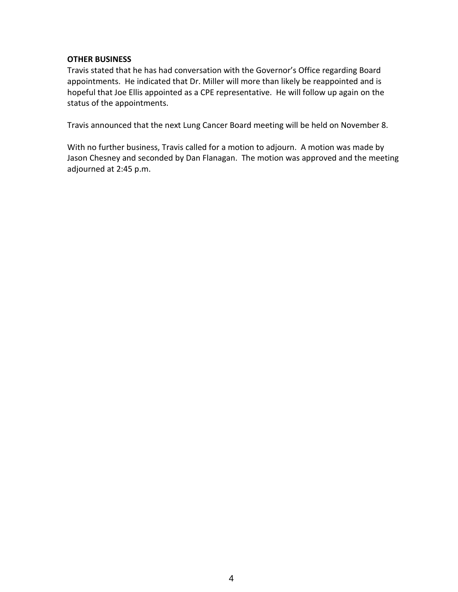#### **OTHER BUSINESS**

Travis stated that he has had conversation with the Governor's Office regarding Board appointments. He indicated that Dr. Miller will more than likely be reappointed and is hopeful that Joe Ellis appointed as a CPE representative. He will follow up again on the status of the appointments.

Travis announced that the next Lung Cancer Board meeting will be held on November 8.

With no further business, Travis called for a motion to adjourn. A motion was made by Jason Chesney and seconded by Dan Flanagan. The motion was approved and the meeting adjourned at 2:45 p.m.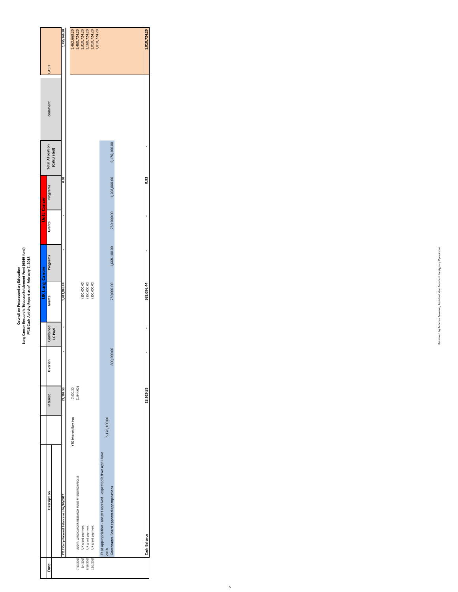|                       |                                         | 1,455,266.90                               | 1,462,668.20                 |                                                    | 1,460,724.20<br>1,310,724.20 | 1,160,724.20     | 1,010,724.20<br>1,010,724.20 |                                                                      |              |                                          |  |
|-----------------------|-----------------------------------------|--------------------------------------------|------------------------------|----------------------------------------------------|------------------------------|------------------|------------------------------|----------------------------------------------------------------------|--------------|------------------------------------------|--|
|                       | CASH                                    |                                            |                              |                                                    |                              |                  |                              |                                                                      |              |                                          |  |
|                       | comment                                 |                                            |                              |                                                    |                              |                  |                              |                                                                      |              |                                          |  |
|                       | <b>Total Allocation</b><br>(Calculated) |                                            |                              |                                                    |                              |                  |                              |                                                                      |              | 5,176,100.00                             |  |
|                       | Programs                                | 0.93                                       |                              |                                                    |                              |                  |                              |                                                                      |              | 1,208,000.00                             |  |
| <b>UofL Cancer</b>    | Grants                                  | $\blacksquare$                             |                              |                                                    |                              |                  |                              |                                                                      |              | 750,000.00                               |  |
|                       | Programs                                | ı                                          |                              |                                                    |                              |                  |                              |                                                                      |              | 1,668,100.00                             |  |
| <b>UK Lung Cancer</b> | Grants                                  | 1,432,096.44                               |                              |                                                    | (150,000.00)                 | (150,000.00)     | (150,000.00)                 |                                                                      |              | 750,000.00                               |  |
|                       | Combined<br><b>LC Pool</b>              | $\blacksquare$                             |                              |                                                    |                              |                  |                              |                                                                      |              |                                          |  |
|                       | Ovarian                                 | $\blacksquare$                             |                              |                                                    |                              |                  |                              |                                                                      |              | 800,000.00                               |  |
|                       | Interest                                | 23,169.53                                  | 7,401.30                     | (1,944.00)                                         |                              |                  |                              |                                                                      |              |                                          |  |
|                       |                                         |                                            | <b>YTD Interest Earnings</b> |                                                    |                              |                  |                              |                                                                      | 5,176,100.00 |                                          |  |
|                       | Description                             | FY17 Carry-Forward Balance as of 6/30/2017 |                              | AUDIT: LUNG CANCER RESEARCH FUND FY ENDING 6/30/15 | UK grant payment             | UK grant payment | UK grant payment             | - not yet received - expected b/twn April-June<br>FY18 appropriation | 2018         | Governance Board approved appropriations |  |
|                       | Date                                    |                                            |                              | 7/13/2017                                          | 8/4/2017                     | 8/16/2017        | 12/1/2017                    |                                                                      |              |                                          |  |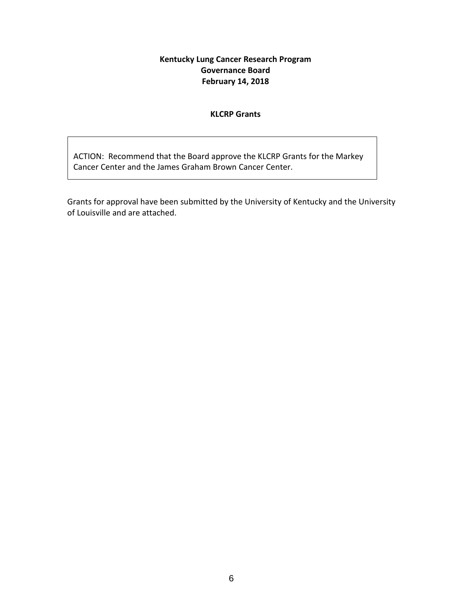#### **Kentucky Lung Cancer Research Program Governance Board February 14, 2018**

#### **KLCRP Grants**

ACTION: Recommend that the Board approve the KLCRP Grants for the Markey Cancer Center and the James Graham Brown Cancer Center.

Grants for approval have been submitted by the University of Kentucky and the University of Louisville and are attached.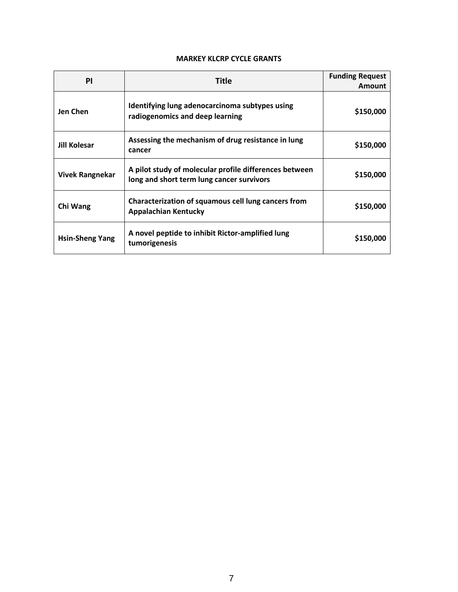#### **MARKEY KLCRP CYCLE GRANTS**

| <b>PI</b>              | Title                                                                                               | <b>Funding Request</b><br>Amount |
|------------------------|-----------------------------------------------------------------------------------------------------|----------------------------------|
| Jen Chen               | Identifying lung adenocarcinoma subtypes using<br>radiogenomics and deep learning                   | \$150,000                        |
| Jill Kolesar           | Assessing the mechanism of drug resistance in lung<br>cancer                                        | \$150,000                        |
| <b>Vivek Rangnekar</b> | A pilot study of molecular profile differences between<br>long and short term lung cancer survivors | \$150,000                        |
| Chi Wang               | Characterization of squamous cell lung cancers from<br><b>Appalachian Kentucky</b>                  | \$150,000                        |
| <b>Hsin-Sheng Yang</b> | A novel peptide to inhibit Rictor-amplified lung<br>tumorigenesis                                   | \$150,000                        |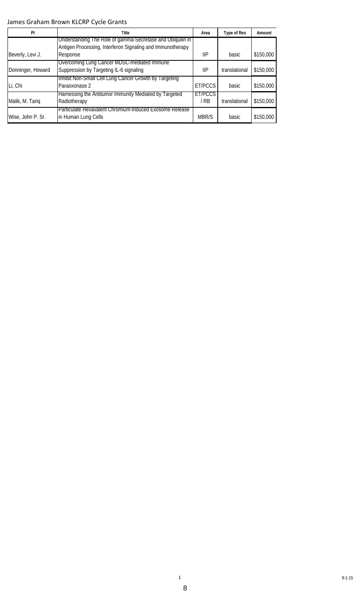#### James Graham Brown KLCRP Cycle Grants

| PI                | Title                                                                                                                    | Area                  | <b>Type of Res</b> | Amount    |
|-------------------|--------------------------------------------------------------------------------------------------------------------------|-----------------------|--------------------|-----------|
|                   | Understanding The Role of gamma-Secretase and Ubiquilin in<br>Antigen Processing, Interferon Signaling and Immunotherapy |                       |                    |           |
| Beverly, Levi J.  | Response                                                                                                                 | <b>IIP</b>            | basic              | \$150,000 |
| Donninger, Howard | Overcoming Lung Cancer MDSC-mediated Immune<br>Suppression by Targeting IL-6 signaling                                   | <b>IIP</b>            | translational      | \$150,000 |
| Li, Chi           | Inhibit Non-Small Cell Lung Cancer Growth by Targeting<br>Paraoxonase 2                                                  | ET/PCCS               | <b>basic</b>       | \$150,000 |
| Malik, M. Tariq   | Harnessing the Antitumor Immunity Mediated by Targeted<br>Radiotherapy                                                   | <b>ET/PCCS</b><br>/RB | translational      | \$150,000 |
| Wise, John P. Sr. | Particulate Hexavalent Chromium-Induced Exosome Release<br>in Human Lung Cells                                           | MBR/S                 | basic              | \$150,000 |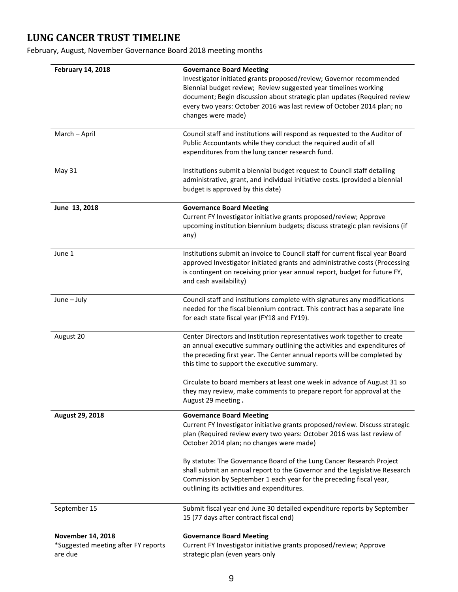### **LUNG CANCER TRUST TIMELINE**

February, August, November Governance Board 2018 meeting months

| <b>February 14, 2018</b>            | <b>Governance Board Meeting</b>                                                                                                                  |
|-------------------------------------|--------------------------------------------------------------------------------------------------------------------------------------------------|
|                                     | Investigator initiated grants proposed/review; Governor recommended<br>Biennial budget review; Review suggested year timelines working           |
|                                     | document; Begin discussion about strategic plan updates (Required review                                                                         |
|                                     | every two years: October 2016 was last review of October 2014 plan; no                                                                           |
|                                     | changes were made)                                                                                                                               |
| March - April                       | Council staff and institutions will respond as requested to the Auditor of                                                                       |
|                                     | Public Accountants while they conduct the required audit of all                                                                                  |
|                                     | expenditures from the lung cancer research fund.                                                                                                 |
| May 31                              | Institutions submit a biennial budget request to Council staff detailing                                                                         |
|                                     | administrative, grant, and individual initiative costs. (provided a biennial                                                                     |
|                                     | budget is approved by this date)                                                                                                                 |
| June 13, 2018                       | <b>Governance Board Meeting</b>                                                                                                                  |
|                                     | Current FY Investigator initiative grants proposed/review; Approve                                                                               |
|                                     | upcoming institution biennium budgets; discuss strategic plan revisions (if                                                                      |
|                                     | any)                                                                                                                                             |
| June 1                              | Institutions submit an invoice to Council staff for current fiscal year Board                                                                    |
|                                     | approved Investigator initiated grants and administrative costs (Processing                                                                      |
|                                     | is contingent on receiving prior year annual report, budget for future FY,                                                                       |
|                                     | and cash availability)                                                                                                                           |
| June - July                         | Council staff and institutions complete with signatures any modifications                                                                        |
|                                     | needed for the fiscal biennium contract. This contract has a separate line                                                                       |
|                                     | for each state fiscal year (FY18 and FY19).                                                                                                      |
| August 20                           | Center Directors and Institution representatives work together to create                                                                         |
|                                     | an annual executive summary outlining the activities and expenditures of                                                                         |
|                                     | the preceding first year. The Center annual reports will be completed by                                                                         |
|                                     | this time to support the executive summary.                                                                                                      |
|                                     | Circulate to board members at least one week in advance of August 31 so                                                                          |
|                                     | they may review, make comments to prepare report for approval at the                                                                             |
|                                     | August 29 meeting.                                                                                                                               |
| August 29, 2018                     | <b>Governance Board Meeting</b><br>Current FY Investigator initiative grants proposed/review. Discuss strategic                                  |
|                                     | plan (Required review every two years: October 2016 was last review of                                                                           |
|                                     | October 2014 plan; no changes were made)                                                                                                         |
|                                     |                                                                                                                                                  |
|                                     | By statute: The Governance Board of the Lung Cancer Research Project                                                                             |
|                                     | shall submit an annual report to the Governor and the Legislative Research<br>Commission by September 1 each year for the preceding fiscal year, |
|                                     | outlining its activities and expenditures.                                                                                                       |
| September 15                        | Submit fiscal year end June 30 detailed expenditure reports by September                                                                         |
|                                     | 15 (77 days after contract fiscal end)                                                                                                           |
| November 14, 2018                   | <b>Governance Board Meeting</b>                                                                                                                  |
| *Suggested meeting after FY reports | Current FY Investigator initiative grants proposed/review; Approve                                                                               |
| are due                             | strategic plan (even years only                                                                                                                  |